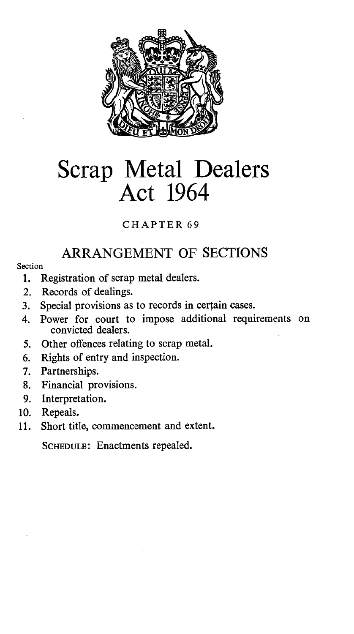

# Scrap Metal Dealers Act 1964

## CHAPTER 69

# ARRANGEMENT OF SECTIONS

#### **Section**

- 1. Registration of scrap metal dealers.
- 2. Records of dealings.
- 3. Special provisions as to records in certain cases.
- 4. Power for court to impose additional requirements on convicted dealers.
- 5. Other offences relating to scrap metal.
- 6. Rights of entry and inspection.
- 7. Partnerships.
- 8. Financial provisions.
- 9. Interpretation.
- 10. Repeals.
- 11. Short title, commencement and extent.

SCHEDULE: Enactments repealed.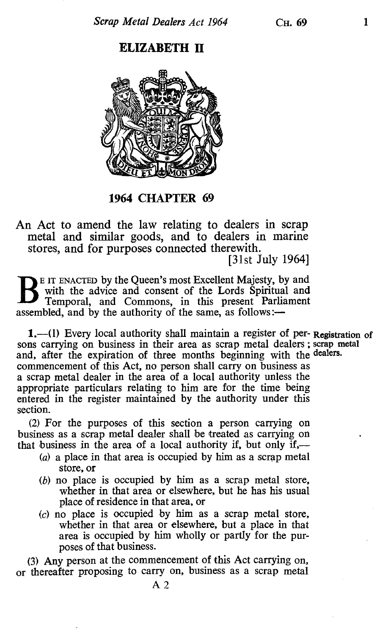

1964 CHAPTER 69

An Act to amend the law relating to dealers in scrap metal and similar goods, and to dealers in marine stores, and for purposes connected therewith.

[31st July 1964]

E IT ENACTED by the Queen's most Excellent Majesty, by and with the advice and consent of the Lords Spiritual and Temporal, and Commons, in this present Parliament assembled, and by the authority of the same, as follows:—

1.—(1) Every local authority shall maintain a register of per- Registration of sons carrying on business in their area as scrap metal dealers ; scrap metal and, after the expiration of three months beginning with the dealers. commencement of this Act, no person shall carry on business as a scrap metal dealer in the area of a local authority unless the appropriate particulars relating to him are for the time being entered in the register maintained by the authority under this section.

(2) For the purposes of this section a person carrying on business as a scrap metal dealer shall be treated as carrying on that business in the area of a local authority if, but only if,-

- $(a)$  a place in that area is occupied by him as a scrap metal store, or
- (b) no place is occupied by him as a scrap metal store, whether in that area or elsewhere, but he has his usual place of residence in that area, or
- (c) no place is occupied by him as a scrap metal store, whether in that area or elsewhere, but a place in that area is occupied by him wholly or partly for the purposes of that business.

(3) Any person at the commencement of this Act carrying on, or thereafter proposing to carry on, business as a scrap metal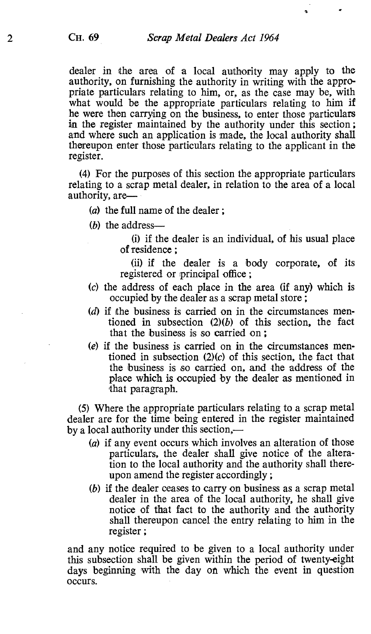dealer in the area of a local authority may apply to the authority, on furnishing the authority in writing with the appropriate particulars relating to him, or, as the case may be, with what would be the appropriate particulars relating to him if he were then carrying on the business, to enter those particulars in the register maintained by the authority under this section ; and where such an application is made, the local authority shall thereupon enter those particulars relating to the applicant in the register.

(4) For the purposes of this section the appropriate particulars relating to a scrap metal dealer, in relation to the area of a local authority, are-

(a) the full name of the dealer ;

 $(b)$  the address-

(i) if the dealer is an individual, of his usual place of residence ;

(ii) if the dealer is a body corporate, of its registered or principal office ;

- (c) the address of each place in the area (if any) which is occupied by the dealer as a scrap metal store ;
- (d) if the business is carried on in the circumstances mentioned in subsection  $(2)(b)$  of this section, the fact that the business is so carried on ;
- (e) if the business is carried on in the circumstances mentioned in subsection  $(2)(c)$  of this section, the fact that the business is so carried on, and the address of the place which is occupied by the dealer as mentioned in that paragraph.

(5) Where the appropriate particulars relating to a scrap metal dealer are for the time being entered in the register maintained by a local authority under this section,—

- (a) if any event occurs which involves an alteration of those particulars, the dealer shall give notice of the alteration to the local authority and the authority shall thereupon amend the register accordingly ;
- (b) if the dealer ceases to carry on business as a scrap metal dealer in the area of the local authority, he shall give notice of that fact to the authority and the authority shall thereupon cancel the entry relating to him in the register ;

and any notice required to be given to a local authority under this subsection shall be given within the period of twenty-eight days beginning with the day on which the event in question occurs.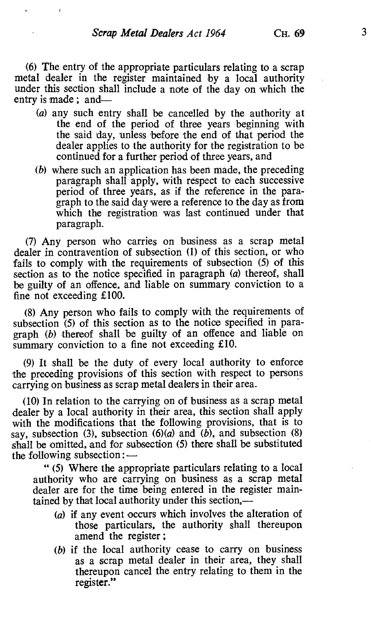entry is made : and-

(6) The entry of the appropriate particulars relating to a scrap metal dealer in the register maintained by a local authority under this section shall include a note of the day on which the

- (a) any such entry shall be cancelled by the authority at the end of the period of three years beginning with the said day, unless before the end of that period the dealer applies to the authority for the registration to be continued for a further period of three years, and
- (b) where such an application has been made, the preceding paragraph shall apply, with respect to each successive period of three years, as if the reference in the paragraph to the said day were a reference to the day as from which the registration was last continued under that paragraph.

(7) Any person who carries on business as a scrap metal dealer in contravention of subsection (1) of this section, or who fails to comply with the requirements of subsection (5) of this section as to the notice specified in paragraph (a) thereof, shall be guilty of an offence, and liable on summary conviction to a fine not exceeding £100.

(8) Any person who fails to comply with the requirements of subsection (5) of this section as to the notice specified in paragraph (b) thereof shall be guilty of an offence and liable on summary conviction to a fine not exceeding  $£10$ .

(9) It shall be the duty of every local authority to enforce the preceding provisions of this section with respect to persons carrying on business as scrap metal dealers in their area.

(10) In relation to the carrying on of business as a scrap metal dealer by a local authority in their area, this section shall apply with the modifications that the following provisions, that is to say, subsection (3), subsection  $(6)(a)$  and  $(b)$ , and subsection  $(8)$ shall be omitted, and for subsection (5) there shall be substituted<br>the following subsection :  $-$ 

" (5) Where the appropriate particulars relating to a local authority who are carrying on business as a scrap metal dealer are for the time being entered in the register maintained by that local authority under this section,—

- (a) if any event occurs which involves the alteration of those particulars, the authority shall thereupon amend the register ;
- (b) if the local authority cease to carry on business as a scrap metal dealer in their area, they shall thereupon cancel the entry relating to them in the register."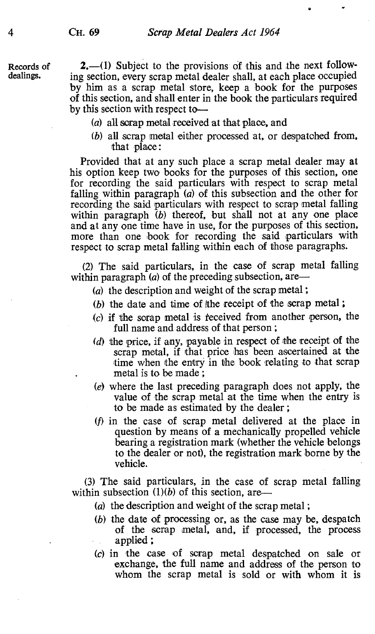Records of  $2,-(1)$  Subject to the provisions of this and the next follow-<br>dealings. in the section every set an metal dealer shall at each place occupied ing section, every scrap metal dealer shall, at each place occupied by him as a scrap metal store, keep a book for the purposes of this section, and shall enter in the book the particulars required by this section with respect to-

- (a) all scrap metal received at that place, and
- (b) all scrap metal either processed at, or despatched from, that place:

Provided that at any such place a scrap metal dealer may at his option keep two books for the purposes of this section, one for recording the said particulars with respect to scrap metal falling within paragraph (a) of this subsection and the other for recording the said particulars with respect to scrap metal falling within paragraph  $(b)$  thereof, but shall not at any one place and at any one time have in use, for the purposes of this section, more than one book for recording the said particulars with respect to scrap metal falling within each of those paragraphs.

(2) The said particulars, in the case of scrap metal falling within paragraph  $(a)$  of the preceding subsection, are-

- (a) the description and weight of the scrap metal ;
- (b) the date and time of the receipt of the scrap metal ;
- (c) if the scrap metal is received from another person, the full name and address of that person ;
- (d) the price, if any, payable in respect of the receipt of the scrap metal, if that price has been ascertained at the time when the entry in the book relating to that scrap metal is to be made ;
- (e) where the last preceding paragraph does not apply, the value of the scrap metal at the time when the entry is to be made as estimated by the dealer ;
- (f) in the case of scrap metal delivered at the place in question by means of a mechanically propelled vehicle bearing a registration mark (whether the vehicle belongs to the dealer or not), the registration mark borne by the vehicle.

(3) The said particulars, in the case of scrap metal falling within subsection  $(1)(b)$  of this section, are-

- (a) the description and weight of the scrap metal;
- (b) the date of processing or, as the case may be, despatch of the scrap metal, and, if processed, the process applied ;
- (c) in the case of scrap metal despatched on sale or exchange, the full name and address of the person to whom the scrap metal is sold or with whom it is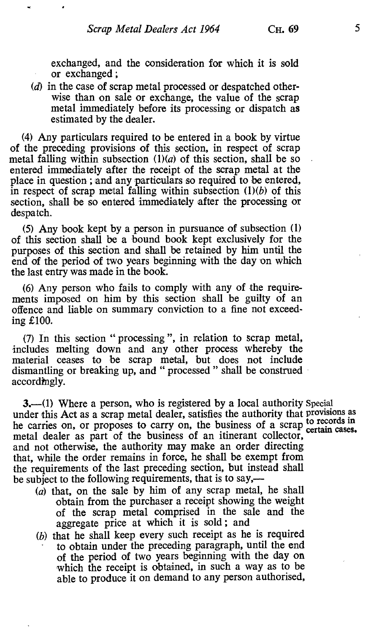exchanged, and the consideration for which it is sold or exchanged;

(d) in the case of scrap metal processed or despatched otherwise than on sale or exchange, the value of the scrap metal immediately before its processing or dispatch as estimated by the dealer.

(4) Any particulars required to be entered in a book by virtue of the preceding provisions of this section, in respect of scrap metal falling within subsection  $(1)(a)$  of this section, shall be so entered immediately after the receipt of the scrap metal at the place in question ; and any particulars so required to be entered, in respect of scrap metal falling within subsection  $(l)(b)$  of this section, shall be so entered immediately after the processing or despatch.

(5) Any book kept by a person in pursuance of subsection (1) of this section shall be a bound book kept exclusively for the purposes of this section and shall be retained by him until the end of the period of two years beginning with the day on which the last entry was made in the book.

(6) Any person who fails to comply with any of the requirements imposed on him by this section shall be guilty of an offence and liable on summary conviction to a fine not exceeding £100.

(7) In this section " processing ", in relation to scrap metal, includes melting down and any other process whereby the material ceases to be scrap metal, but does not include dismantling or breaking up, and " processed " shall be construed accordingly.

3.-(1) Where a person, who is registered by a local authority Special under this Act as a scrap metal dealer, satisfies the authority that provisions as the carries on, or proposes to carry on, the business of a scrap certain cases. metal dealer as part of the business of an itinerant collector, and not otherwise, the authority may make an order directing that, while the order remains in force, he shall be exempt from the requirements of the last preceding section, but instead shall be subject to the following requirements, that is to say,—

- $(a)$  that, on the sale by him of any scrap metal, he shall obtain from the purchaser a receipt showing the weight of the scrap metal comprised in the sale and the aggregate price at which it is sold ; and
- (b) that he shall keep every such receipt as he is required to obtain under the preceding paragraph, until the end of the period of two years beginning with the day on which the receipt is obtained, in such a way as to be able to produce it on demand to any person authorised,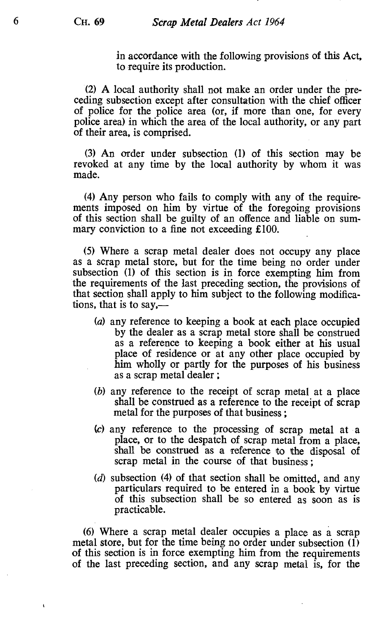in accordance with the following provisions of this Act, to require its production.

(2) A local authority shall not make an order under the preceding subsection except after consultation with the chief officer of police for the police area (or, if more than one, for every police area) in which the area of the local authority, or any part of their area, is comprised.

(3) An order under subsection (1) of this section may be revoked at any time by the local authority by whom it was made.

(4) Any person who fails to comply with any of the requirements imposed on him by virtue of the foregoing provisions of this section shall be guilty of an offence and liable on summary conviction to a fine not exceeding £100.

(5) Where a scrap metal dealer does not occupy any place as a scrap metal store, but for the time being no order under subsection (1) of this section is in force exempting him from the requirements of the last preceding section, the provisions of that section shall apply to him subject to the following modifications, that is to say $\overline{a}$ .

- (a) any reference to keeping a book at each place occupied by the dealer as a scrap metal store shall be construed as a reference to keeping a book either at his usual place of residence or at any other place occupied by him wholly or partly for the purposes of his business as a scrap metal dealer ;
- (b) any reference to the receipt of scrap metal at a place shall be construed as a reference to the receipt of scrap metal for the purposes of that business ;
- (c) any reference to the processing of scrap metal at a place, or to the despatch of scrap metal from a place, shall be construed as a reference to the disposal of scrap metal in the course of that business ;
- (d) subsection (4) of that section shall be omitted, and any particulars required to be entered in a book by virtue of this subsection shall be so entered as soon as is practicable.

(6) Where a scrap metal dealer occupies a place as a scrap metal store, but for the time being no order under subsection (1) of this section is in force exempting him from the requirements of the last preceding section, and any scrap metal is, for the

 $\mathbf{t}$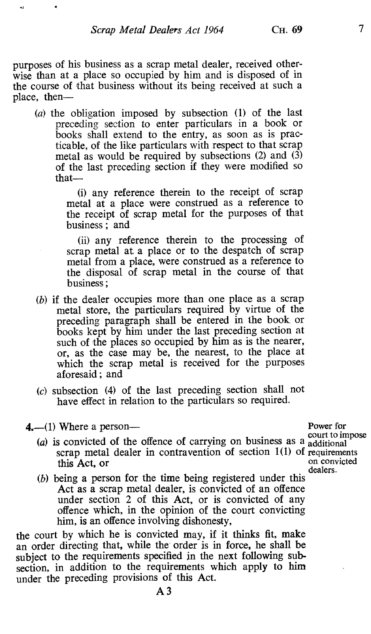purposes of his business as a scrap metal dealer, received otherwise than at a place so occupied by him and is disposed of in the course of that business without its being received at such a place, then-

(a) the obligation imposed by subsection (1) of the last preceding section to enter particulars in a book or books shall extend to the entry, as soon as is practicable, of the like particulars with respect to that scrap metal as would be required by subsections  $(2)$  and  $(3)$ of the last preceding section if they were modified so that-

> (i) any reference therein to the receipt of scrap metal at a place were construed as a reference to the receipt of scrap metal for the purposes of that business ; and

> (ii) any reference therein to the processing of scrap metal at a place or to the despatch of scrap metal from a place, were construed as a reference to the disposal of scrap metal in the course of that business ;

- (b) if the dealer occupies more than one place as a scrap metal store, the particulars required by virtue of the preceding paragraph shall be entered in the book or books kept by him under the last preceding section at such of the places so occupied by him as is the nearer, or, as the case may be, the nearest, to the place at which the scrap metal is received for the purposes aforesaid ; and
- (c) subsection (4) of the last preceding section shall not have effect in relation to the particulars so required.
- $4.$  (1) Where a person— Power for
	- (a) is convicted of the offence of carrying on business as a additional scrap metal dealer in contravention of section  $1(1)$  of requirements<br>this Act or this Act, or
	- (b) being a person for the time being registered under this Act as a scrap metal dealer, is convicted of an offence under section 2 of this Act, or is convicted of any offence which, in the opinion of the court convicting him, is an offence involving dishonesty,

the court by which he is convicted may, if it thinks fit, make an order directing that, while the order is in force, he shall be subject to the requirements specified in the next following subsection, in addition to the requirements which apply to him under the preceding provisions of this Act.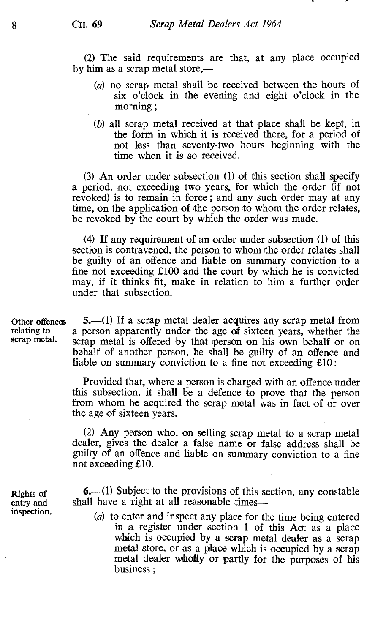(2) The said requirements are that, at any place occupied by him as a scrap metal store,—

- (a) no scrap metal shall be received between the hours of six o'clock in the evening and eight o'clock in the morning ;
- (b) all scrap metal received at that place shall be kept, in the form in which it is received there, for a period of not less than seventy-two hours beginning with the time when it is so received.

(3) An order under subsection (1) of this section shall specify a period, not exceeding two years, for which the order (if not revoked) is to remain in force ; and any such order may at any time, on the application of the person to whom the order relates, be revoked by the court by which the order was made.

(4) If any requirement of an order under subsection (1) of this section is contravened, the person to whom the order relates shall be guilty of an offence and liable on summary conviction to a fine not exceeding £100 and the court by which he is convicted may, if it thinks fit, make in relation to him a further order under that subsection.

Other offences relating to scrap metal.

5.—(1) If a scrap metal dealer acquires any scrap metal from a person apparently under the age of sixteen years, whether the scrap metal is offered by that person on his own behalf or on behalf of another person, he shall be guilty of an offence and liable on summary conviction to a fine not exceeding £10:

Provided that, where a person is charged with an offence under this subsection, it shall be a defence to prove that the person from whom he acquired the scrap metal was in fact of or over the age of sixteen years.

(2) Any person who, on selling scrap metal to a scrap metal dealer, gives the dealer a false name or false address shall be guilty of an offence and liable on summary conviction to a fine not exceeding £10.

Rights of entry and inspection.

 $6$ —(1) Subject to the provisions of this section, any constable shall have a right at all reasonable times—

(a) to enter and inspect any place for the time being entered in a register under section 1 of this Aat as a place which is occupied by a scrap metal dealer as a scrap metal store, or as a place which is occupied by a scrap metal dealer wholly or partly for the purposes of his business ;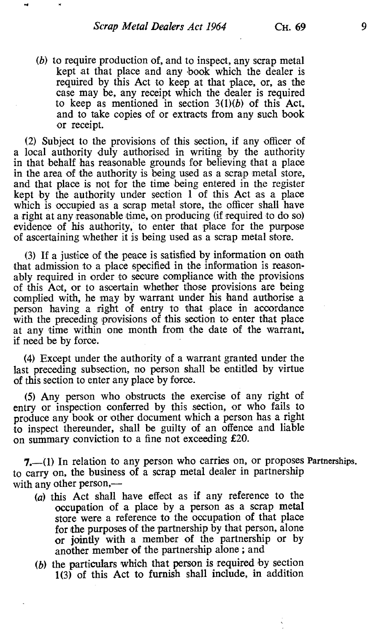(b) to require production of, and to inspect, any scrap metal kept at that place and any book which the dealer is required by this Act to keep at that place, or, as the case may be, any receipt which the dealer is required to keep as mentioned in section  $3(1)(b)$  of this Act. and to take copies of or extracts from any such book or receipt.

(2) Subject to the provisions of this section, if any officer of a local authority duly authorised in writing by the authority in that behalf has reasonable grounds for believing that a place in the area of the authority is being used as a scrap metal store, and that place is not for the time being entered in the register kept by the authority under section 1 of this Act as a place which is occupied as a scrap metal store, the officer shall have a right at any reasonable time, on producing (if required to do so) evidence of his authority, to enter that place for the purpose of ascertaining whether it is being used as a scrap metal store.

(3) If a justice of the peace is satisfied by information on oath that admission to a place specified in the information is reasonably required in order to secure compliance with the provisions of this Act, or to ascertain whether those provisions are being complied with, he may by warrant under his hand authorise a person having a right of entry to that place in accordance with the preceding provisions of this section to enter that place at any time within one month from the date of the warrant, if need be by force.

(4) Except under the authority of a warrant granted under the last preceding subsection, no person shall be entitled by virtue of this section to enter any place by force.

(5) Any person who obstructs the exercise of any right of entry or inspection conferred by this section, or who fails to produce any book or other document which a person has a right to inspect thereunder, shall be guilty of an offence and liable on summary conviction to a fine not exceeding £20.

7.-(1) In relation to any person who carries on, or proposes Partnerships. to carry on, the business of a scrap metal dealer in partnership with any other person,—

- (a) this Act shall have effect as if any reference to the occupation of a place by a person as a scrap metal store were a reference to the occupation of that place for the purposes of the partnership by that person, alone or jointly with a member of the partnership or by another member of the partnership alone ; and
- (b) the particulars which that person is required by section 1(3) of this Act to furnish shall include, in addition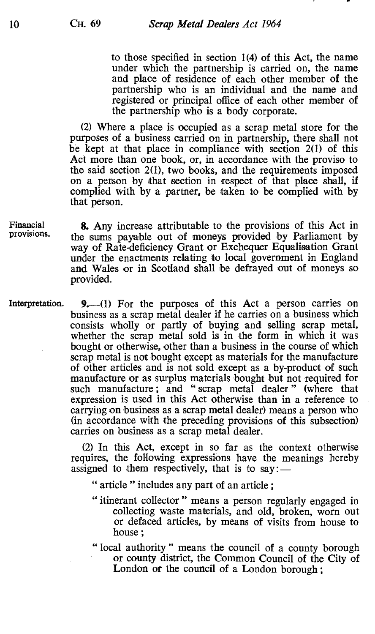to those specified in section 1(4) of this Act, the name under which the partnership is carried on, the name and place of residence of each other member of the partnership who is an individual and the name and registered or principal office of each other member of the partnership who is a body corporate.

(2) Where a place is occupied as a scrap metal store for the purposes of a business carried on in partnership, there shall not be kept at that place in compliance with section 2(1) of this Act more than one book, or, in accordance with the proviso to the said section 2(1), two books, and the requirements imposed on a person by that section in respect of that place shall, if complied with by a partner, be taken to be complied with by that person.

Financial provisions.

8. Any increase attributable to the provisions of this Act in the sums payable out of moneys provided by Parliament by way of Rate-deficiency Grant or Exchequer Equalisation Grant under the enactments relating to local government in England and Wales or in Scotland shall be defrayed out of moneys so provided.

Interpretation. 9.—(1) For the purposes of this Act a person carries on business as a scrap metal dealer if he carries on a business which consists wholly or partly of buying and selling scrap metal, whether the scrap metal sold is in the form in which it was bought or otherwise, other than a business in the course of which scrap metal is not bought except as materials for the manufacture of other articles and is not sold except as a by-product of such manufacture or as surplus materials bought but not required for such manufacture; and "scrap metal dealer" (where that expression is used in this Act otherwise than in a reference to carrying on business as a scrap metal dealer) means a person who (in accordance with the preceding provisions of this subsection) carries on business as a scrap metal dealer.

> (2) In this Act, except in so far as the context otherwise requires, the following expressions have the meanings hereby assigned to them respectively, that is to say: $-$

" article " includes any part of an article;

" itinerant collector " means a person regularly engaged in collecting waste materials, and old, broken, worn out or defaced articles, by means of visits from house to house ;

" local authority " means the council of a county borough or county district, the Common Council of the City of London or the council of a London borough ;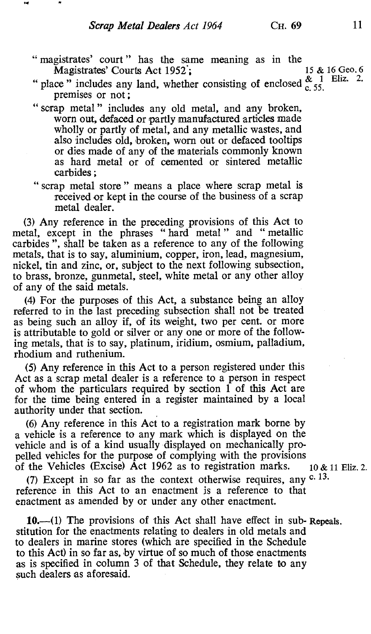- " magistrates' court " has the same meaning as in the Magistrates' Courts Act 1952; 15 & 16 Geo. 6
- " place " includes any land, whether consisting of enclosed  $\frac{\& 1}{c. 55}$ . premises or not ;
- " scrap metal " includes any old metal, and any broken, worn out, defaced or partly manufactured articles made wholly or partly of metal, and any metallic wastes, and also includes old, broken, worn out or defaced tooltips or dies made of any of the materials commonly known as hard metal or of cemented or sintered metallic carbides;
- " scrap metal store" means a place where scrap metal is received or kept in the course of the business of a scrap metal dealer.

(3) Any reference in the preceding provisions of this Act to metal, except in the phrases " hard metal " and " metallic carbides ", shall be taken as a reference to any of the following metals, that is to say, aluminium, copper, iron, lead, magnesium, nickel, tin and zinc, or, subject to the next following subsection, to brass, bronze, gunmetal, steel, white metal or any other alloy of any of the said metals.

(4) For the purposes of this Act, a substance being an alloy referred to in the last preceding subsection shall not be treated as being such an alloy if, of its weight, two per cent. or more is attributable to gold or silver or any one or more of the following metals, that is to say, platinum, iridium, osmium, palladium, rhodium and ruthenium.

(5) Any reference in this Act to a person registered under this Act as a scrap metal dealer is a reference to a person in respect of whom the particulars required by section  $\hat{1}$  of this Act are for the time being entered in a register maintained by a local authority under that section.

(6) Any reference in this Act to a registration mark borne by a vehicle is a reference to any mark which is displayed on the vehicle and is of a kind usually displayed on mechanically propelled vehicles for the purpose of complying with the provisions of the Vehicles (Excise) Act 1962 as to registration marks.  $10 \& 11$  Eliz. 2.

(7) Except in so far as the context otherwise requires, any  $c. 13$ . reference in this Act to an enactment is a reference to that enactment as amended by or under any other enactment.

10.—(1) The provisions of this Act shall have effect in sub-Repeals. stitution for the enactments relating to dealers in old metals and to dealers in marine stores (which are specified in the Schedule to this Act) in so far as, by virtue of so much of those enactments as is specified in column 3 of that Schedule, they relate to any such dealers as aforesaid.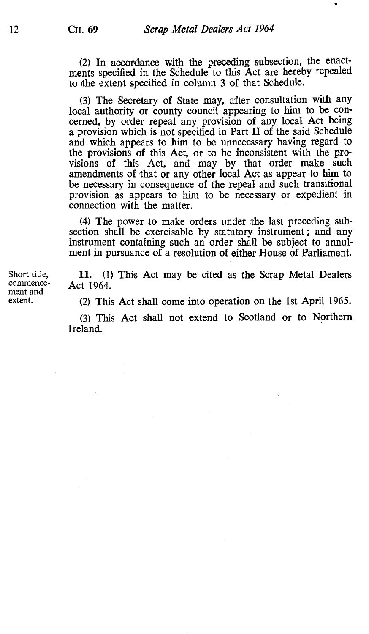(2) In accordance with the preceding subsection, the enactments specified in the Schedule to this Act are hereby repealed to ithe extent specified in column 3 of that Schedule.

(3) The Secretary of State may, after consultation with any local authority or county council appearing to him to be concerned, by order repeal any provision of any local Act being <sup>a</sup>provision which is not specified in Part II of the said Schedule and which appears to him to be unnecessary having regard to the provisions of this Act, or to be inconsistent with the provisions of this Act, and may by that order make such amendments of that or any other local Act as appear to him to be necessary in consequence of the repeal and such transitional provision as appears to him to be necessary or expedient in connection with the matter.

(4) The power to make orders under the last preceding subsection shall be exercisable by statutory instrument ; and any instrument containing such an order shall be subject to annulment in pursuance of a resolution of either House of Parliament.

 $11.(-1)$  This Act may be cited as the Scrap Metal Dealers Act 1964.

(2) This Act shall come into operation on the 1st April 1965.

(3) This Act shall not extend to Scotland or to Northern Ireland.

Short title, commencement and extent.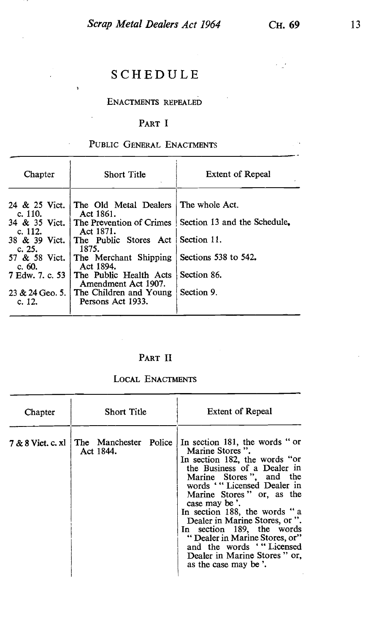e ist

# SCHEDULE

#### ENACTMENTS REPEALED

#### PART I

#### PUBLIC GENERAL ENACTMENTS

| Chapter                                             | <b>Short Title</b>                                                                                                | <b>Extent of Repeal</b>                                             |
|-----------------------------------------------------|-------------------------------------------------------------------------------------------------------------------|---------------------------------------------------------------------|
| 24 & 25 Vict.<br>c. 110.<br>c. $112.$               | The Old Metal Dealers The whole Act.<br>Act 1861.<br>Act 1871.<br>38 & 39 Vict. The Public Stores Act Section 11. | 34 & 35 Vict. The Prevention of Crimes Section 13 and the Schedule. |
| c. 25.<br>57 & 58 Vict.<br>c.60.<br>7 Edw. 7, c. 53 | 1875.<br>The Merchant Shipping<br>Act 1894.<br>The Public Health Acts                                             | Sections 538 to 542.<br>Section 86.                                 |
| $23 \& 24$ Geo. 5.<br>c. 12.                        | Amendment Act 1907.<br>The Children and Young<br>Persons Act 1933.                                                | Section 9.                                                          |

## PART II

## LOCAL ENACTMENTS

| Chapter           | <b>Short Title</b>                 | <b>Extent of Repeal</b>                                                                                                                                                                                                                                                                                                                                                                                                                      |
|-------------------|------------------------------------|----------------------------------------------------------------------------------------------------------------------------------------------------------------------------------------------------------------------------------------------------------------------------------------------------------------------------------------------------------------------------------------------------------------------------------------------|
| 7 & 8 Vict. c. xl | The Manchester Police<br>Act 1844. | In section 181, the words "or<br>Marine Stores ".<br>In section 182, the words "or<br>the Business of a Dealer in<br>Marine Stores", and the<br>words ""Licensed Dealer in<br>Marine Stores" or, as the<br>case may be '.<br>In section 188, the words "a<br>Dealer in Marine Stores, or ".<br>In section 189, the words<br>"Dealer in Marine Stores, or"<br>and the words "Licensed"<br>Dealer in Marine Stores " or,<br>as the case may be |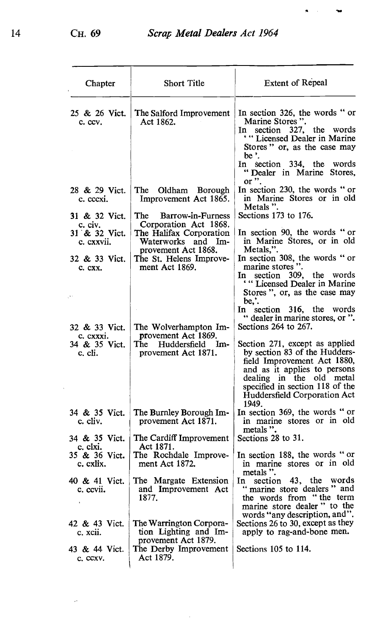$\bar{\lambda}$ 

 $\hat{\rho}$ 

| Chapter                                     | Short Title                                                                                   | <b>Extent of Repeal</b>                                                                                                                                                                                                                       |
|---------------------------------------------|-----------------------------------------------------------------------------------------------|-----------------------------------------------------------------------------------------------------------------------------------------------------------------------------------------------------------------------------------------------|
| 25 & 26 Vict.<br>c. ccv.                    | The Salford Improvement<br>Act 1862.                                                          | In section 326, the words "or<br>Marine Stores".<br>In section 327, the words<br>" Licensed Dealer in Marine<br>Stores" or, as the case may<br>be $\cdot$ .<br>In section 334, the words<br>"Dealer in Marine Stores,                         |
| 28 & 29 Vict.<br>c. cccxi.<br>31 & 32 Vict. | The Oldham<br><b>Borough</b><br>Improvement Act 1865.<br><b>The</b><br>Barrow-in-Furness      | or $"$ .<br>In section 230, the words "or<br>in Marine Stores or in old<br>Metals ".<br>Sections 173 to 176.                                                                                                                                  |
| c. civ.<br>31 & 32 Vict.<br>c. cxxvii.      | Corporation Act 1868.<br>The Halifax Corporation<br>Waterworks and Im-<br>provement Act 1868. | In section 90, the words "or<br>in Marine Stores, or in old<br>Metals,".                                                                                                                                                                      |
| 32 & 33 Vict.<br>c. CXX.                    | The St. Helens Improve-<br>ment Act 1869.                                                     | In section 308, the words "or<br>marine stores".<br>In section 309, the words<br>" Licensed Dealer in Marine<br>Stores", or, as the case may<br>be, $\cdot$ .<br>In section 316, the words                                                    |
| 32 & 33 Vict.<br>c. cxxxi.                  | The Wolverhampton Im-<br>provement Act 1869.                                                  | " dealer in marine stores, or ".<br>Sections 264 to 267.                                                                                                                                                                                      |
| 34 & 35 Vict.<br>c. cli.                    | The Huddersfield Im-<br>provement Act 1871.                                                   | Section 271, except as applied<br>by section 83 of the Hudders-<br>field Improvement Act 1880,<br>and as it applies to persons<br>dealing in the old metal<br>specified in section 118 of the<br><b>Huddersfield Corporation Act</b><br>1949. |
| 34 & 35 Vict.<br>c. cliv.                   | The Burnley Borough Im-<br>provement Act 1871.                                                | In section 369, the words "or<br>in marine stores or in old<br>metals".                                                                                                                                                                       |
| 34 & 35 Vict.<br>c. clxi.                   | The Cardiff Improvement<br>Act 1871.                                                          | Sections 28 to 31.                                                                                                                                                                                                                            |
| 35 & 36 Vict.<br>c. cxlix.                  | The Rochdale Improve-<br>ment Act 1872.                                                       | In section 188, the words "or<br>in marine stores or in old<br>metals ".                                                                                                                                                                      |
| 40 & 41 Vict.<br>c. ccvii.                  | The Margate Extension<br>and Improvement Act<br>1877.                                         | In section 43, the words<br>" marine store dealers" and<br>the words from "the term<br>marine store dealer" to the<br>words "any description, and".                                                                                           |
| 42 & 43 Vict.<br>c. xcii.                   | The Warrington Corpora-<br>tion Lighting and Im-<br>provement Act 1879.                       | Sections 26 to 30, except as they<br>apply to rag-and-bone men.                                                                                                                                                                               |
| 43 & 44 Vict.<br>c. ccxv.                   | The Derby Improvement<br>Act 1879.                                                            | Sections 105 to 114.                                                                                                                                                                                                                          |

 $\overline{\phantom{a}}$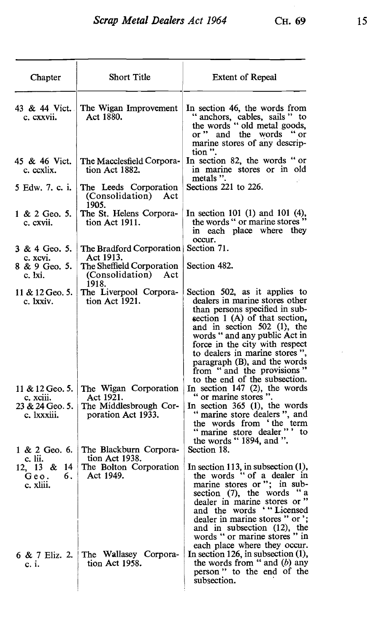| Chapter                                                                   | <b>Short Title</b>                                                                 | <b>Extent of Repeal</b>                                                                                                                                                                                                                                                                                                                                                |
|---------------------------------------------------------------------------|------------------------------------------------------------------------------------|------------------------------------------------------------------------------------------------------------------------------------------------------------------------------------------------------------------------------------------------------------------------------------------------------------------------------------------------------------------------|
| 43 & 44 Vict.<br>c. cxxvii.                                               | The Wigan Improvement<br>Act 1880.                                                 | In section 46, the words from<br>" anchors, cables, sails " to<br>the words " old metal goods,<br>or " and the words " or<br>marine stores of any descrip-<br>tion".                                                                                                                                                                                                   |
| 45 & 46 Vict.<br>c. ccxlix.                                               | The Macclesfield Corpora-<br>tion Act 1882.                                        | In section 82, the words "or<br>in marine stores or in old<br>metals".                                                                                                                                                                                                                                                                                                 |
| 5 Edw. 7. c. i.                                                           | The Leeds Corporation<br>(Consolidation) Act<br>1905.                              | Sections 221 to 226.                                                                                                                                                                                                                                                                                                                                                   |
| 1 & 2 Geo. 5.<br>c. cxvii.                                                | The St. Helens Corpora-<br>tion Act 1911.                                          | In section 101 $(1)$ and 101 $(4)$ ,<br>the words " or marine stores"<br>in each place where they<br>occur.                                                                                                                                                                                                                                                            |
| 3 & 4 Geo. 5.                                                             | The Bradford Corporation                                                           | Section 71.                                                                                                                                                                                                                                                                                                                                                            |
| c. xcvi.<br>8 & 9 Geo. 5.<br>c. 1xi.                                      | Act 1913.<br>The Sheffield Corporation<br>(Consolidation) Act<br>1918.             | Section 482.                                                                                                                                                                                                                                                                                                                                                           |
| 11 & 12 Geo. 5.<br>c. Ixxiv.                                              | The Liverpool Corpora-<br>tion Act 1921.                                           | Section 502, as it applies to<br>dealers in marine stores other<br>than persons specified in sub-<br>section 1 (A) of that section,<br>and in section $502$ (1), the<br>words " and any public Act in<br>force in the city with respect<br>to dealers in marine stores",<br>paragraph (B), and the words<br>from "and the provisions"<br>to the end of the subsection. |
| 11 & 12 Geo. 5.<br>c. xciii.<br>23 <i>&amp;</i> 24 Geo. 5.<br>c. lxxxiii. | The Wigan Corporation<br>Act 1921.<br>The Middlesbrough Cor-<br>poration Act 1933. | In section $147$ (2), the words<br>" or marine stores".<br>In section 365 (1), the words<br>" marine store dealers", and<br>the words from 'the term<br>"marine store dealer"' to<br>the words "1894, and ".                                                                                                                                                           |
| $1 & 2$ Geo. 6.                                                           | The Blackburn Corpora-<br>tion Act 1938.                                           | Section 18.                                                                                                                                                                                                                                                                                                                                                            |
| c. lii.<br>12, 13 & 14<br>6.<br>Geo.<br>c. xliii.                         | The Bolton Corporation<br>Act 1949.                                                | In section 113, in subsection $(1)$ ,<br>the words "of a dealer in<br>marine stores or "; in sub-<br>section (7), the words "a<br>dealer in marine stores or<br>and the words '"Licensed<br>dealer in marine stores " or ';<br>and in subsection (12), the<br>words " or marine stores " in<br>each place where they occur.                                            |
| 6 & 7 Eliz. 2.<br>c. <i>i.</i>                                            | The Wallasey Corpora-<br>tion Act 1958.                                            | In section 126, in subsection $(1)$ ,<br>the words from " and $(b)$ any<br>person" to the end of the<br>subsection.                                                                                                                                                                                                                                                    |

þ,